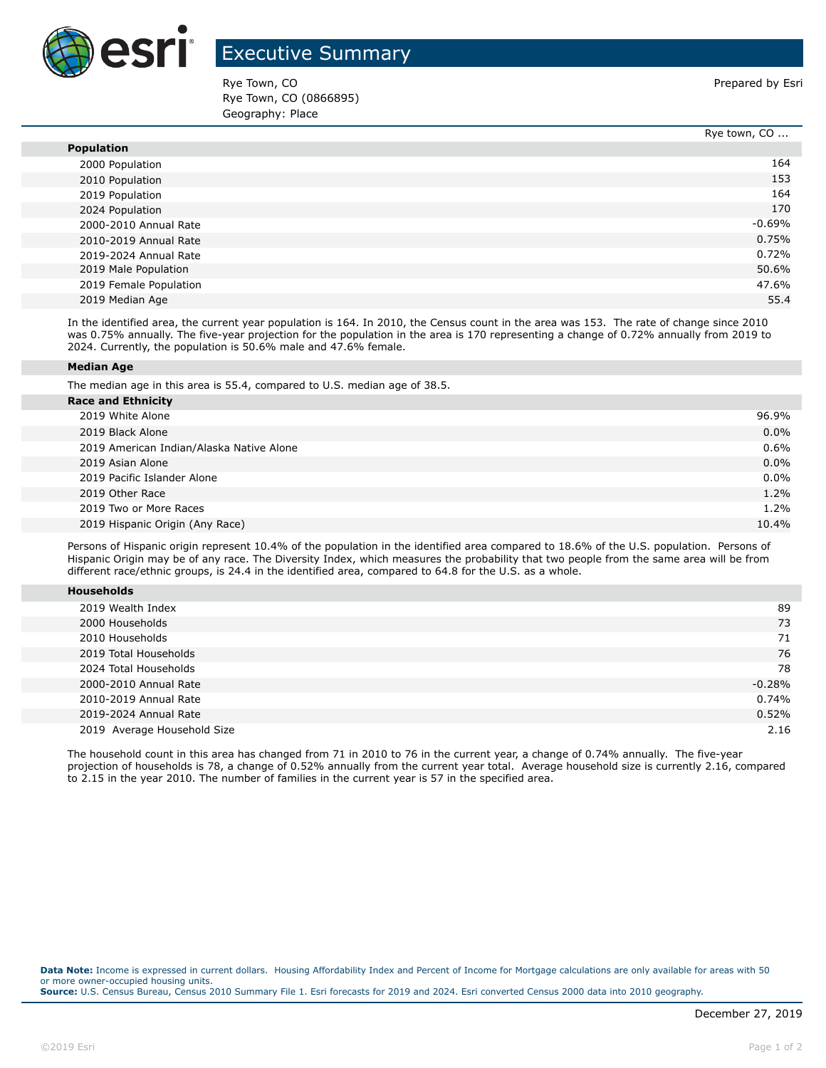

## Executive Summary

Rye Town, CO **Prepared by Esri** Prepared by Esri Rye Town, CO (0866895) Geography: Place

|                        | Rye town, CO |
|------------------------|--------------|
| <b>Population</b>      |              |
| 2000 Population        | 164          |
| 2010 Population        | 153          |
| 2019 Population        | 164          |
| 2024 Population        | 170          |
| 2000-2010 Annual Rate  | $-0.69%$     |
| 2010-2019 Annual Rate  | 0.75%        |
| 2019-2024 Annual Rate  | 0.72%        |
| 2019 Male Population   | 50.6%        |
| 2019 Female Population | 47.6%        |
| 2019 Median Age        | 55.4         |

In the identified area, the current year population is 164. In 2010, the Census count in the area was 153. The rate of change since 2010 was 0.75% annually. The five-year projection for the population in the area is 170 representing a change of 0.72% annually from 2019 to 2024. Currently, the population is 50.6% male and 47.6% female.

## **Median Age**

The median age in this area is 55.4, compared to U.S. median age of 38.5.

| <b>Race and Ethnicity</b>                |         |
|------------------------------------------|---------|
| 2019 White Alone                         | 96.9%   |
| 2019 Black Alone                         | $0.0\%$ |
| 2019 American Indian/Alaska Native Alone | 0.6%    |
| 2019 Asian Alone                         | 0.0%    |
| 2019 Pacific Islander Alone              | $0.0\%$ |
| 2019 Other Race                          | 1.2%    |
| 2019 Two or More Races                   | 1.2%    |
| 2019 Hispanic Origin (Any Race)          | 10.4%   |
|                                          |         |

Persons of Hispanic origin represent 10.4% of the population in the identified area compared to 18.6% of the U.S. population. Persons of Hispanic Origin may be of any race. The Diversity Index, which measures the probability that two people from the same area will be from different race/ethnic groups, is 24.4 in the identified area, compared to 64.8 for the U.S. as a whole.

| <b>Households</b> |
|-------------------|
|-------------------|

| 2019 Wealth Index           | 89       |
|-----------------------------|----------|
| 2000 Households             | 73       |
| 2010 Households             | 71       |
| 2019 Total Households       | 76       |
| 2024 Total Households       | 78       |
| 2000-2010 Annual Rate       | $-0.28%$ |
| 2010-2019 Annual Rate       | 0.74%    |
| 2019-2024 Annual Rate       | 0.52%    |
| 2019 Average Household Size | 2.16     |

The household count in this area has changed from 71 in 2010 to 76 in the current year, a change of 0.74% annually. The five-year projection of households is 78, a change of 0.52% annually from the current year total. Average household size is currently 2.16, compared to 2.15 in the year 2010. The number of families in the current year is 57 in the specified area.

**Data Note:** Income is expressed in current dollars. Housing Affordability Index and Percent of Income for Mortgage calculations are only available for areas with 50 or more owner-occupied housing units. **Source:** U.S. Census Bureau, Census 2010 Summary File 1. Esri forecasts for 2019 and 2024. Esri converted Census 2000 data into 2010 geography.